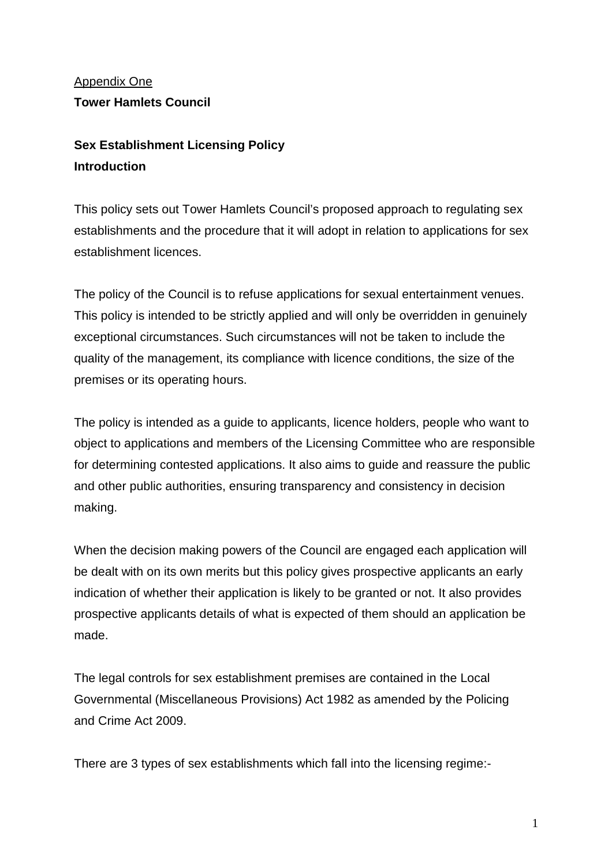# Appendix One **Tower Hamlets Council**

# **Sex Establishment Licensing Policy Introduction**

This policy sets out Tower Hamlets Council's proposed approach to regulating sex establishments and the procedure that it will adopt in relation to applications for sex establishment licences.

The policy of the Council is to refuse applications for sexual entertainment venues. This policy is intended to be strictly applied and will only be overridden in genuinely exceptional circumstances. Such circumstances will not be taken to include the quality of the management, its compliance with licence conditions, the size of the premises or its operating hours.

The policy is intended as a guide to applicants, licence holders, people who want to object to applications and members of the Licensing Committee who are responsible for determining contested applications. It also aims to guide and reassure the public and other public authorities, ensuring transparency and consistency in decision making.

When the decision making powers of the Council are engaged each application will be dealt with on its own merits but this policy gives prospective applicants an early indication of whether their application is likely to be granted or not. It also provides prospective applicants details of what is expected of them should an application be made.

The legal controls for sex establishment premises are contained in the Local Governmental (Miscellaneous Provisions) Act 1982 as amended by the Policing and Crime Act 2009.

There are 3 types of sex establishments which fall into the licensing regime:-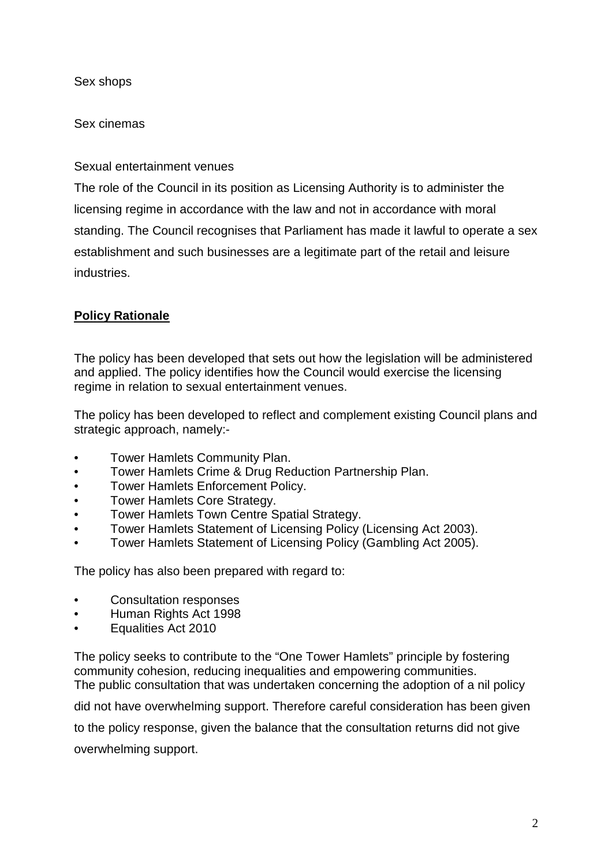Sex shops

Sex cinemas

Sexual entertainment venues

The role of the Council in its position as Licensing Authority is to administer the licensing regime in accordance with the law and not in accordance with moral standing. The Council recognises that Parliament has made it lawful to operate a sex establishment and such businesses are a legitimate part of the retail and leisure industries.

## **Policy Rationale**

The policy has been developed that sets out how the legislation will be administered and applied. The policy identifies how the Council would exercise the licensing regime in relation to sexual entertainment venues.

The policy has been developed to reflect and complement existing Council plans and strategic approach, namely:-

- Tower Hamlets Community Plan.
- Tower Hamlets Crime & Drug Reduction Partnership Plan.
- Tower Hamlets Enforcement Policy.
- Tower Hamlets Core Strategy.
- Tower Hamlets Town Centre Spatial Strategy.
- Tower Hamlets Statement of Licensing Policy (Licensing Act 2003).
- Tower Hamlets Statement of Licensing Policy (Gambling Act 2005).

The policy has also been prepared with regard to:

- Consultation responses
- Human Rights Act 1998
- Equalities Act 2010

The policy seeks to contribute to the "One Tower Hamlets" principle by fostering community cohesion, reducing inequalities and empowering communities. The public consultation that was undertaken concerning the adoption of a nil policy

did not have overwhelming support. Therefore careful consideration has been given

to the policy response, given the balance that the consultation returns did not give

overwhelming support.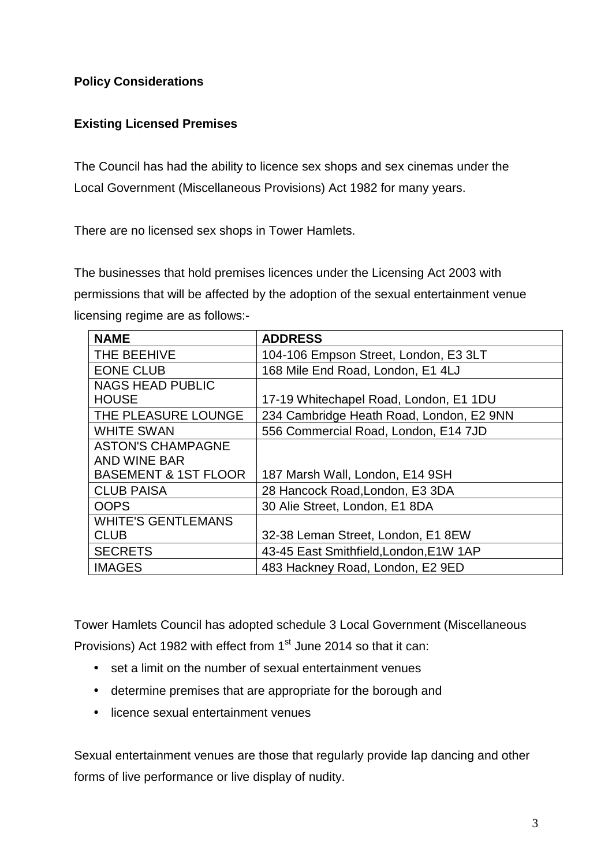## **Policy Considerations**

## **Existing Licensed Premises**

The Council has had the ability to licence sex shops and sex cinemas under the Local Government (Miscellaneous Provisions) Act 1982 for many years.

There are no licensed sex shops in Tower Hamlets.

The businesses that hold premises licences under the Licensing Act 2003 with permissions that will be affected by the adoption of the sexual entertainment venue licensing regime are as follows:-

| <b>NAME</b>                     | <b>ADDRESS</b>                           |
|---------------------------------|------------------------------------------|
| THE BEEHIVE                     | 104-106 Empson Street, London, E3 3LT    |
| <b>EONE CLUB</b>                | 168 Mile End Road, London, E1 4LJ        |
| <b>NAGS HEAD PUBLIC</b>         |                                          |
| <b>HOUSE</b>                    | 17-19 Whitechapel Road, London, E1 1DU   |
| THE PLEASURE LOUNGE             | 234 Cambridge Heath Road, London, E2 9NN |
| <b>WHITE SWAN</b>               | 556 Commercial Road, London, E14 7JD     |
| <b>ASTON'S CHAMPAGNE</b>        |                                          |
| <b>AND WINE BAR</b>             |                                          |
| <b>BASEMENT &amp; 1ST FLOOR</b> | 187 Marsh Wall, London, E14 9SH          |
| <b>CLUB PAISA</b>               | 28 Hancock Road, London, E3 3DA          |
| <b>OOPS</b>                     | 30 Alie Street, London, E1 8DA           |
| <b>WHITE'S GENTLEMANS</b>       |                                          |
| <b>CLUB</b>                     | 32-38 Leman Street, London, E1 8EW       |
| <b>SECRETS</b>                  | 43-45 East Smithfield, London, E1W 1AP   |
| <b>IMAGES</b>                   | 483 Hackney Road, London, E2 9ED         |

Tower Hamlets Council has adopted schedule 3 Local Government (Miscellaneous Provisions) Act 1982 with effect from 1<sup>st</sup> June 2014 so that it can:

- set a limit on the number of sexual entertainment venues
- determine premises that are appropriate for the borough and
- licence sexual entertainment venues

Sexual entertainment venues are those that regularly provide lap dancing and other forms of live performance or live display of nudity.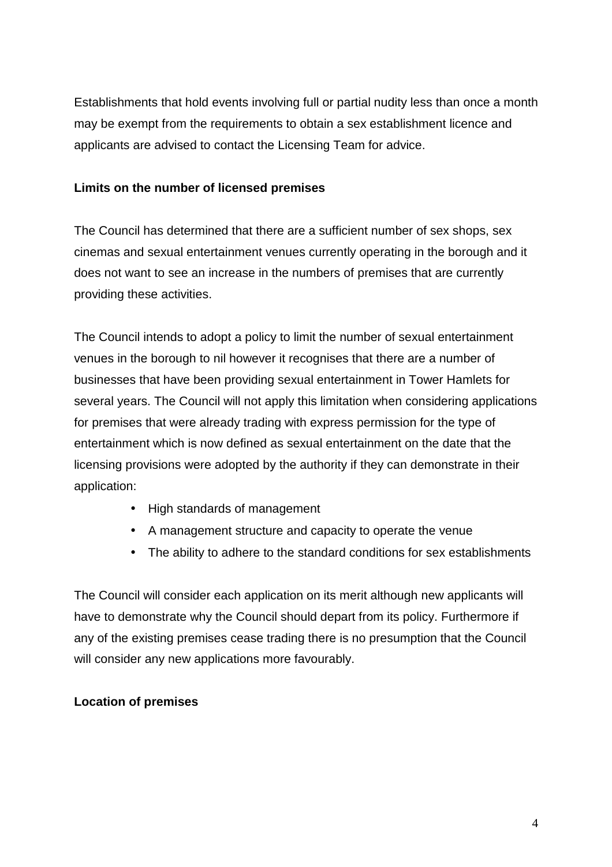Establishments that hold events involving full or partial nudity less than once a month may be exempt from the requirements to obtain a sex establishment licence and applicants are advised to contact the Licensing Team for advice.

#### **Limits on the number of licensed premises**

The Council has determined that there are a sufficient number of sex shops, sex cinemas and sexual entertainment venues currently operating in the borough and it does not want to see an increase in the numbers of premises that are currently providing these activities.

The Council intends to adopt a policy to limit the number of sexual entertainment venues in the borough to nil however it recognises that there are a number of businesses that have been providing sexual entertainment in Tower Hamlets for several years. The Council will not apply this limitation when considering applications for premises that were already trading with express permission for the type of entertainment which is now defined as sexual entertainment on the date that the licensing provisions were adopted by the authority if they can demonstrate in their application:

- High standards of management
- A management structure and capacity to operate the venue
- The ability to adhere to the standard conditions for sex establishments

The Council will consider each application on its merit although new applicants will have to demonstrate why the Council should depart from its policy. Furthermore if any of the existing premises cease trading there is no presumption that the Council will consider any new applications more favourably.

## **Location of premises**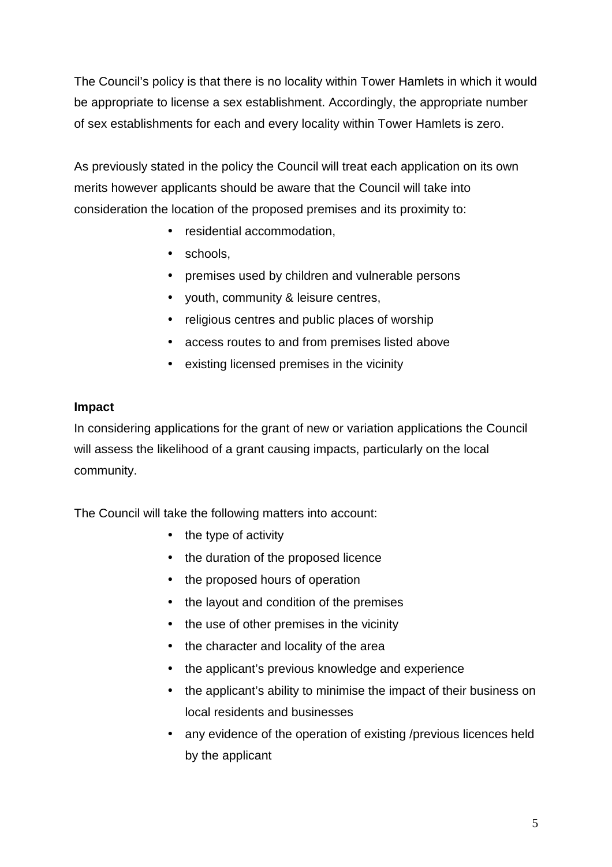The Council's policy is that there is no locality within Tower Hamlets in which it would be appropriate to license a sex establishment. Accordingly, the appropriate number of sex establishments for each and every locality within Tower Hamlets is zero.

As previously stated in the policy the Council will treat each application on its own merits however applicants should be aware that the Council will take into consideration the location of the proposed premises and its proximity to:

- residential accommodation,
- schools,
- premises used by children and vulnerable persons
- youth, community & leisure centres,
- religious centres and public places of worship
- access routes to and from premises listed above
- existing licensed premises in the vicinity

#### **Impact**

In considering applications for the grant of new or variation applications the Council will assess the likelihood of a grant causing impacts, particularly on the local community.

The Council will take the following matters into account:

- the type of activity
- the duration of the proposed licence
- the proposed hours of operation
- the layout and condition of the premises
- the use of other premises in the vicinity
- the character and locality of the area
- the applicant's previous knowledge and experience
- the applicant's ability to minimise the impact of their business on local residents and businesses
- any evidence of the operation of existing /previous licences held by the applicant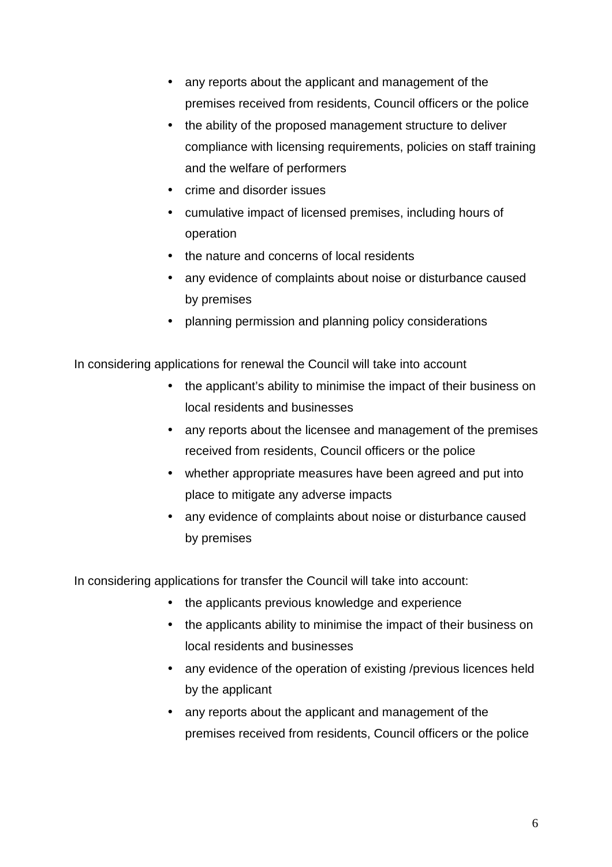- any reports about the applicant and management of the premises received from residents, Council officers or the police
- the ability of the proposed management structure to deliver compliance with licensing requirements, policies on staff training and the welfare of performers
- crime and disorder issues
- cumulative impact of licensed premises, including hours of operation
- the nature and concerns of local residents
- any evidence of complaints about noise or disturbance caused by premises
- planning permission and planning policy considerations

In considering applications for renewal the Council will take into account

- the applicant's ability to minimise the impact of their business on local residents and businesses
- any reports about the licensee and management of the premises received from residents, Council officers or the police
- whether appropriate measures have been agreed and put into place to mitigate any adverse impacts
- any evidence of complaints about noise or disturbance caused by premises

In considering applications for transfer the Council will take into account:

- the applicants previous knowledge and experience
	- the applicants ability to minimise the impact of their business on local residents and businesses
	- any evidence of the operation of existing /previous licences held by the applicant
	- any reports about the applicant and management of the premises received from residents, Council officers or the police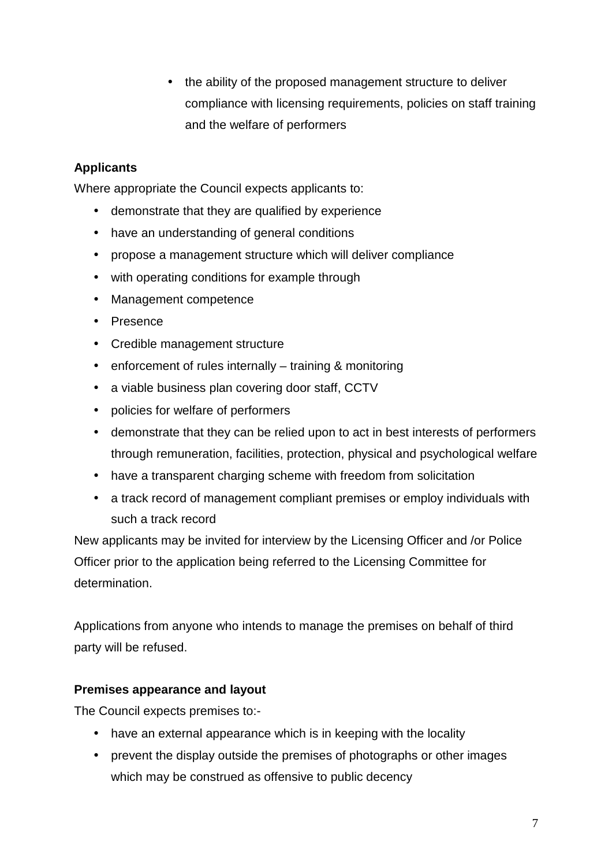• the ability of the proposed management structure to deliver compliance with licensing requirements, policies on staff training and the welfare of performers

## **Applicants**

Where appropriate the Council expects applicants to:

- demonstrate that they are qualified by experience
- have an understanding of general conditions
- propose a management structure which will deliver compliance
- with operating conditions for example through
- Management competence
- Presence
- Credible management structure
- enforcement of rules internally training & monitoring
- a viable business plan covering door staff, CCTV
- policies for welfare of performers
- demonstrate that they can be relied upon to act in best interests of performers through remuneration, facilities, protection, physical and psychological welfare
- have a transparent charging scheme with freedom from solicitation
- a track record of management compliant premises or employ individuals with such a track record

New applicants may be invited for interview by the Licensing Officer and /or Police Officer prior to the application being referred to the Licensing Committee for determination.

Applications from anyone who intends to manage the premises on behalf of third party will be refused.

#### **Premises appearance and layout**

The Council expects premises to:-

- have an external appearance which is in keeping with the locality
- prevent the display outside the premises of photographs or other images which may be construed as offensive to public decency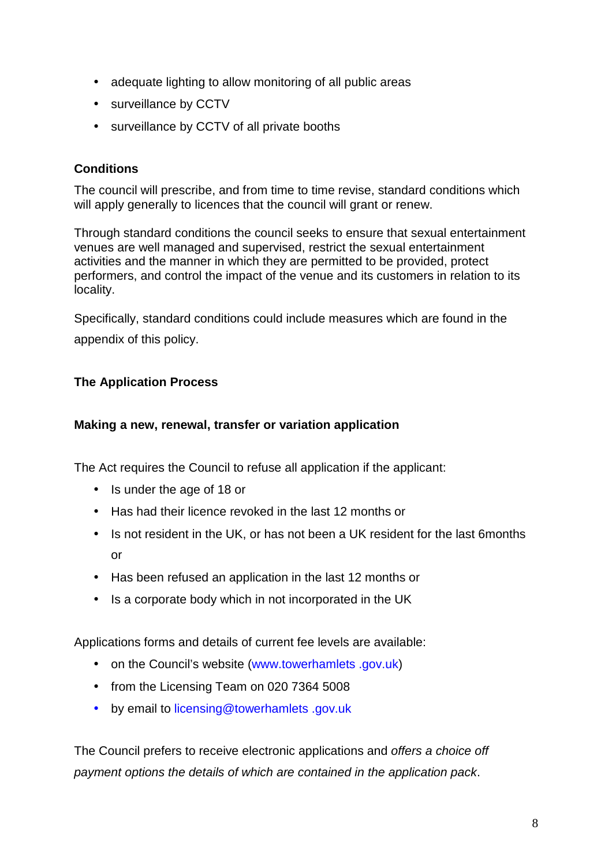- adequate lighting to allow monitoring of all public areas
- surveillance by CCTV
- surveillance by CCTV of all private booths

## **Conditions**

The council will prescribe, and from time to time revise, standard conditions which will apply generally to licences that the council will grant or renew.

Through standard conditions the council seeks to ensure that sexual entertainment venues are well managed and supervised, restrict the sexual entertainment activities and the manner in which they are permitted to be provided, protect performers, and control the impact of the venue and its customers in relation to its locality.

Specifically, standard conditions could include measures which are found in the appendix of this policy.

## **The Application Process**

#### **Making a new, renewal, transfer or variation application**

The Act requires the Council to refuse all application if the applicant:

- Is under the age of 18 or
- Has had their licence revoked in the last 12 months or
- Is not resident in the UK, or has not been a UK resident for the last 6months or
- Has been refused an application in the last 12 months or
- Is a corporate body which in not incorporated in the UK

Applications forms and details of current fee levels are available:

- on the Council's website (www.towerhamlets .gov.uk)
- from the Licensing Team on 020 7364 5008
- by email to licensing@towerhamlets .gov.uk

The Council prefers to receive electronic applications and offers a choice off payment options the details of which are contained in the application pack.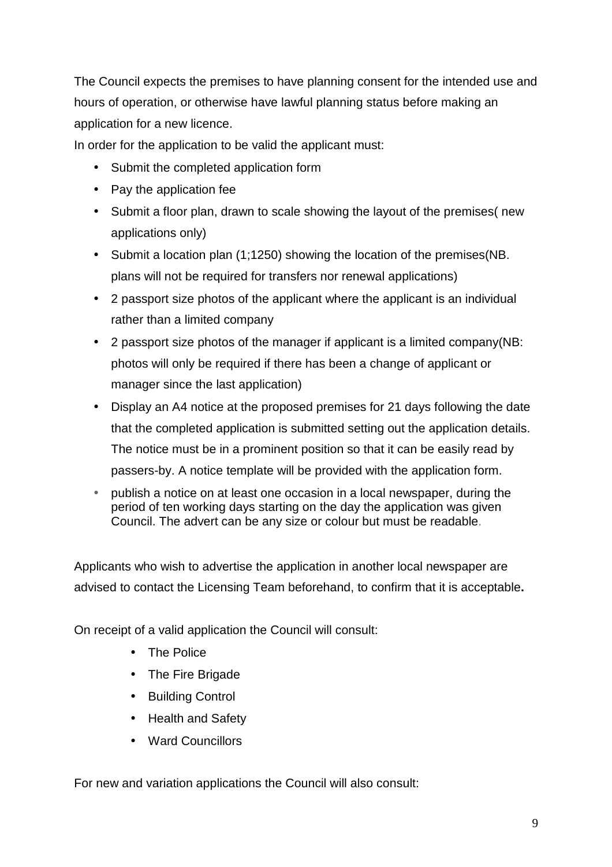The Council expects the premises to have planning consent for the intended use and hours of operation, or otherwise have lawful planning status before making an application for a new licence.

In order for the application to be valid the applicant must:

- Submit the completed application form
- Pay the application fee
- Submit a floor plan, drawn to scale showing the layout of the premises( new applications only)
- Submit a location plan (1;1250) showing the location of the premises(NB. plans will not be required for transfers nor renewal applications)
- 2 passport size photos of the applicant where the applicant is an individual rather than a limited company
- 2 passport size photos of the manager if applicant is a limited company(NB: photos will only be required if there has been a change of applicant or manager since the last application)
- Display an A4 notice at the proposed premises for 21 days following the date that the completed application is submitted setting out the application details. The notice must be in a prominent position so that it can be easily read by passers-by. A notice template will be provided with the application form.
- publish a notice on at least one occasion in a local newspaper, during the period of ten working days starting on the day the application was given Council. The advert can be any size or colour but must be readable.

Applicants who wish to advertise the application in another local newspaper are advised to contact the Licensing Team beforehand, to confirm that it is acceptable**.** 

On receipt of a valid application the Council will consult:

- The Police
- The Fire Brigade
- Building Control
- Health and Safety
- Ward Councillors

For new and variation applications the Council will also consult: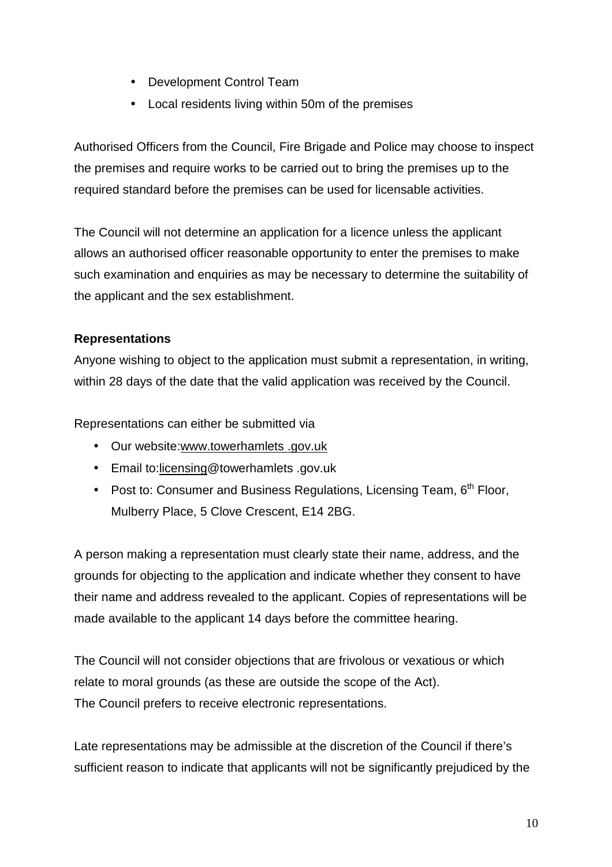- Development Control Team
- Local residents living within 50m of the premises

Authorised Officers from the Council, Fire Brigade and Police may choose to inspect the premises and require works to be carried out to bring the premises up to the required standard before the premises can be used for licensable activities.

The Council will not determine an application for a licence unless the applicant allows an authorised officer reasonable opportunity to enter the premises to make such examination and enquiries as may be necessary to determine the suitability of the applicant and the sex establishment.

## **Representations**

Anyone wishing to object to the application must submit a representation, in writing, within 28 days of the date that the valid application was received by the Council.

Representations can either be submitted via

- Our website:www.towerhamlets .gov.uk
- Email to:licensing@towerhamlets .gov.uk
- Post to: Consumer and Business Regulations, Licensing Team, 6<sup>th</sup> Floor. Mulberry Place, 5 Clove Crescent, E14 2BG.

A person making a representation must clearly state their name, address, and the grounds for objecting to the application and indicate whether they consent to have their name and address revealed to the applicant. Copies of representations will be made available to the applicant 14 days before the committee hearing.

The Council will not consider objections that are frivolous or vexatious or which relate to moral grounds (as these are outside the scope of the Act). The Council prefers to receive electronic representations.

Late representations may be admissible at the discretion of the Council if there's sufficient reason to indicate that applicants will not be significantly prejudiced by the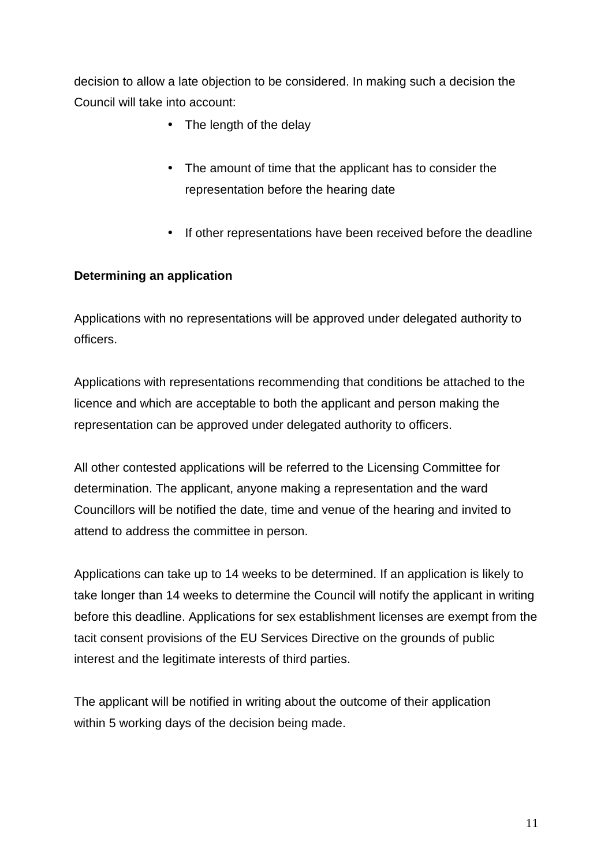decision to allow a late objection to be considered. In making such a decision the Council will take into account:

- The length of the delay
- The amount of time that the applicant has to consider the representation before the hearing date
- If other representations have been received before the deadline

#### **Determining an application**

Applications with no representations will be approved under delegated authority to officers.

Applications with representations recommending that conditions be attached to the licence and which are acceptable to both the applicant and person making the representation can be approved under delegated authority to officers.

All other contested applications will be referred to the Licensing Committee for determination. The applicant, anyone making a representation and the ward Councillors will be notified the date, time and venue of the hearing and invited to attend to address the committee in person.

Applications can take up to 14 weeks to be determined. If an application is likely to take longer than 14 weeks to determine the Council will notify the applicant in writing before this deadline. Applications for sex establishment licenses are exempt from the tacit consent provisions of the EU Services Directive on the grounds of public interest and the legitimate interests of third parties.

The applicant will be notified in writing about the outcome of their application within 5 working days of the decision being made.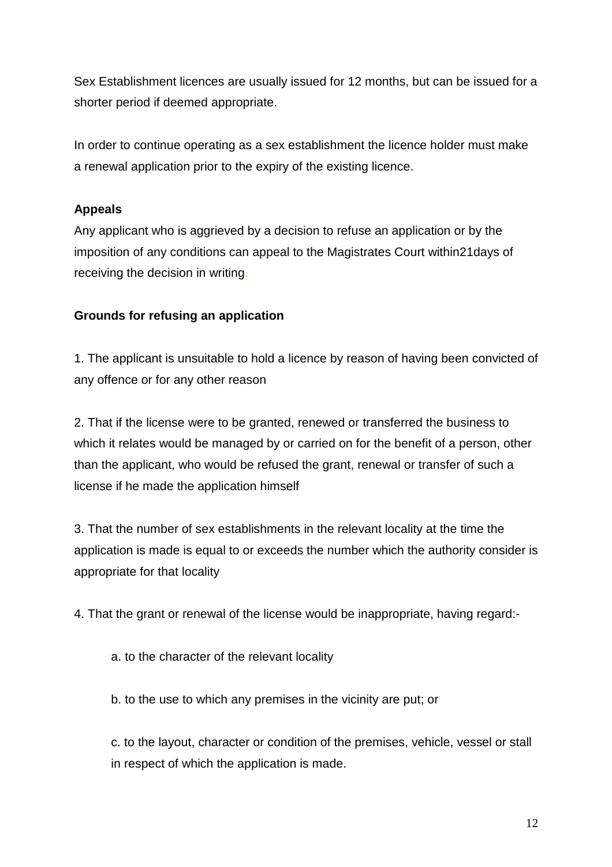Sex Establishment licences are usually issued for 12 months, but can be issued for a shorter period if deemed appropriate.

In order to continue operating as a sex establishment the licence holder must make a renewal application prior to the expiry of the existing licence.

## **Appeals**

Any applicant who is aggrieved by a decision to refuse an application or by the imposition of any conditions can appeal to the Magistrates Court within21days of receiving the decision in writing.

## **Grounds for refusing an application**

1. The applicant is unsuitable to hold a licence by reason of having been convicted of any offence or for any other reason

2. That if the license were to be granted, renewed or transferred the business to which it relates would be managed by or carried on for the benefit of a person, other than the applicant, who would be refused the grant, renewal or transfer of such a license if he made the application himself

3. That the number of sex establishments in the relevant locality at the time the application is made is equal to or exceeds the number which the authority consider is appropriate for that locality

4. That the grant or renewal of the license would be inappropriate, having regard:-

a. to the character of the relevant locality

b. to the use to which any premises in the vicinity are put; or

c. to the layout, character or condition of the premises, vehicle, vessel or stall in respect of which the application is made.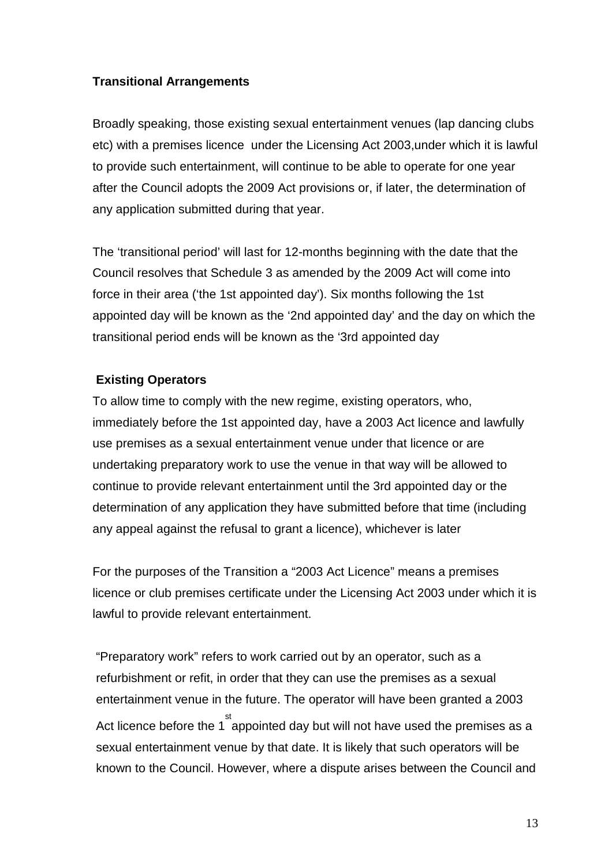#### **Transitional Arrangements**

Broadly speaking, those existing sexual entertainment venues (lap dancing clubs etc) with a premises licence under the Licensing Act 2003,under which it is lawful to provide such entertainment, will continue to be able to operate for one year after the Council adopts the 2009 Act provisions or, if later, the determination of any application submitted during that year.

The 'transitional period' will last for 12-months beginning with the date that the Council resolves that Schedule 3 as amended by the 2009 Act will come into force in their area ('the 1st appointed day'). Six months following the 1st appointed day will be known as the '2nd appointed day' and the day on which the transitional period ends will be known as the '3rd appointed day

#### **Existing Operators**

To allow time to comply with the new regime, existing operators, who, immediately before the 1st appointed day, have a 2003 Act licence and lawfully use premises as a sexual entertainment venue under that licence or are undertaking preparatory work to use the venue in that way will be allowed to continue to provide relevant entertainment until the 3rd appointed day or the determination of any application they have submitted before that time (including any appeal against the refusal to grant a licence), whichever is later

For the purposes of the Transition a "2003 Act Licence" means a premises licence or club premises certificate under the Licensing Act 2003 under which it is lawful to provide relevant entertainment.

"Preparatory work" refers to work carried out by an operator, such as a refurbishment or refit, in order that they can use the premises as a sexual entertainment venue in the future. The operator will have been granted a 2003 Act licence before the 1<sup>st</sup> appointed day but will not have used the premises as a sexual entertainment venue by that date. It is likely that such operators will be known to the Council. However, where a dispute arises between the Council and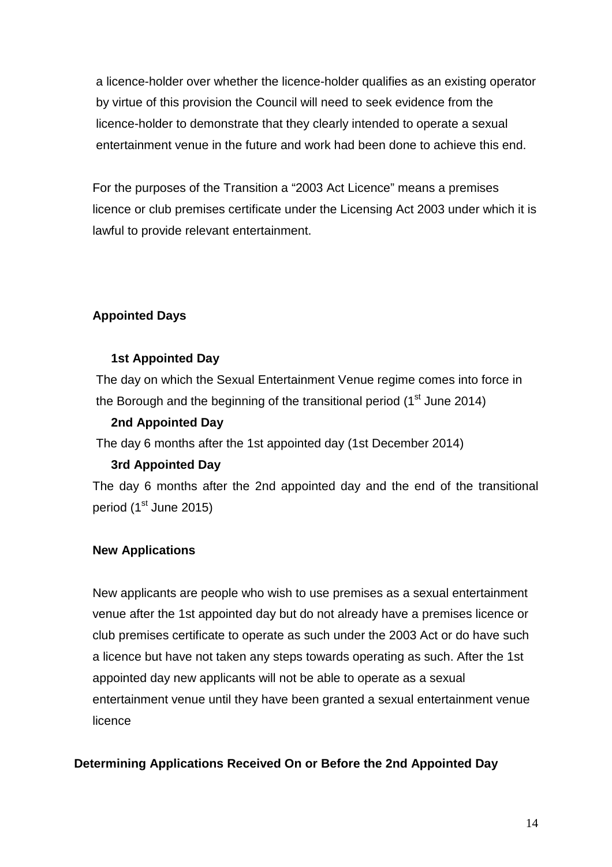a licence-holder over whether the licence-holder qualifies as an existing operator by virtue of this provision the Council will need to seek evidence from the licence-holder to demonstrate that they clearly intended to operate a sexual entertainment venue in the future and work had been done to achieve this end.

For the purposes of the Transition a "2003 Act Licence" means a premises licence or club premises certificate under the Licensing Act 2003 under which it is lawful to provide relevant entertainment.

## **Appointed Days**

#### **1st Appointed Day**

The day on which the Sexual Entertainment Venue regime comes into force in the Borough and the beginning of the transitional period  $(1<sup>st</sup>$  June 2014)

#### **2nd Appointed Day**

The day 6 months after the 1st appointed day (1st December 2014)

## **3rd Appointed Day**

The day 6 months after the 2nd appointed day and the end of the transitional period (1<sup>st</sup> June 2015)

## **New Applications**

New applicants are people who wish to use premises as a sexual entertainment venue after the 1st appointed day but do not already have a premises licence or club premises certificate to operate as such under the 2003 Act or do have such a licence but have not taken any steps towards operating as such. After the 1st appointed day new applicants will not be able to operate as a sexual entertainment venue until they have been granted a sexual entertainment venue licence

## **Determining Applications Received On or Before the 2nd Appointed Day**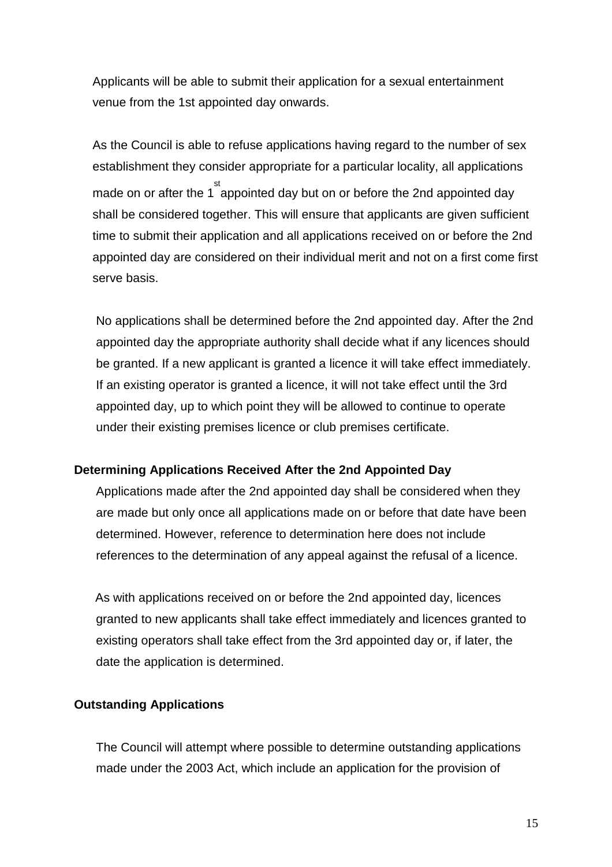Applicants will be able to submit their application for a sexual entertainment venue from the 1st appointed day onwards.

As the Council is able to refuse applications having regard to the number of sex establishment they consider appropriate for a particular locality, all applications made on or after the 1  $\overset{\text{st}}{a}$  appointed day but on or before the 2nd appointed day shall be considered together. This will ensure that applicants are given sufficient time to submit their application and all applications received on or before the 2nd appointed day are considered on their individual merit and not on a first come first serve basis.

No applications shall be determined before the 2nd appointed day. After the 2nd appointed day the appropriate authority shall decide what if any licences should be granted. If a new applicant is granted a licence it will take effect immediately. If an existing operator is granted a licence, it will not take effect until the 3rd appointed day, up to which point they will be allowed to continue to operate under their existing premises licence or club premises certificate.

#### **Determining Applications Received After the 2nd Appointed Day**

Applications made after the 2nd appointed day shall be considered when they are made but only once all applications made on or before that date have been determined. However, reference to determination here does not include references to the determination of any appeal against the refusal of a licence.

As with applications received on or before the 2nd appointed day, licences granted to new applicants shall take effect immediately and licences granted to existing operators shall take effect from the 3rd appointed day or, if later, the date the application is determined.

#### **Outstanding Applications**

The Council will attempt where possible to determine outstanding applications made under the 2003 Act, which include an application for the provision of